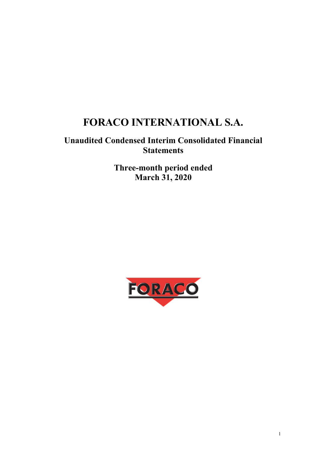# **FORACO INTERNATIONAL S.A.**

# **Unaudited Condensed Interim Consolidated Financial Statements**

**Three-month period ended March 31, 2020** 

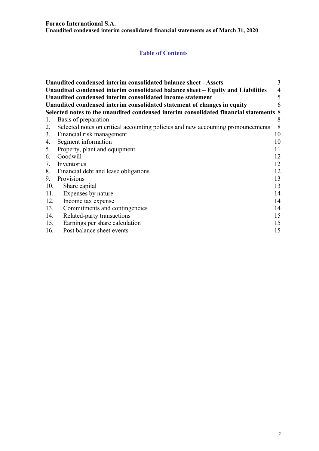#### **Foraco International S.A.**

**Unaudited condensed interim consolidated financial statements as of March 31, 2020** 

# **Table of Contents**

|     | Unaudited condensed interim consolidated balance sheet - Assets                                   | 3  |  |  |  |  |  |
|-----|---------------------------------------------------------------------------------------------------|----|--|--|--|--|--|
|     | $\overline{4}$<br>Unaudited condensed interim consolidated balance sheet – Equity and Liabilities |    |  |  |  |  |  |
|     | 5<br>Unaudited condensed interim consolidated income statement                                    |    |  |  |  |  |  |
|     | Unaudited condensed interim consolidated statement of changes in equity                           | 6  |  |  |  |  |  |
|     | Selected notes to the unaudited condensed interim consolidated financial statements 8             |    |  |  |  |  |  |
| 1.  | Basis of preparation                                                                              | 8  |  |  |  |  |  |
| 2.  | Selected notes on critical accounting policies and new accounting pronouncements                  | 8  |  |  |  |  |  |
|     | 3. Financial risk management                                                                      | 10 |  |  |  |  |  |
| 4.  | Segment information                                                                               | 10 |  |  |  |  |  |
|     | 5. Property, plant and equipment                                                                  | 11 |  |  |  |  |  |
| 6.  | Goodwill                                                                                          | 12 |  |  |  |  |  |
| 7.  | Inventories                                                                                       | 12 |  |  |  |  |  |
|     | 8. Financial debt and lease obligations                                                           | 12 |  |  |  |  |  |
| 9.  | Provisions                                                                                        | 13 |  |  |  |  |  |
| 10. | Share capital                                                                                     | 13 |  |  |  |  |  |
| 11. | Expenses by nature                                                                                | 14 |  |  |  |  |  |
| 12. | Income tax expense                                                                                | 14 |  |  |  |  |  |
| 13. | Commitments and contingencies                                                                     | 14 |  |  |  |  |  |
| 14. | Related-party transactions                                                                        | 15 |  |  |  |  |  |
| 15. | Earnings per share calculation                                                                    | 15 |  |  |  |  |  |
| 16. | Post balance sheet events                                                                         | 15 |  |  |  |  |  |
|     |                                                                                                   |    |  |  |  |  |  |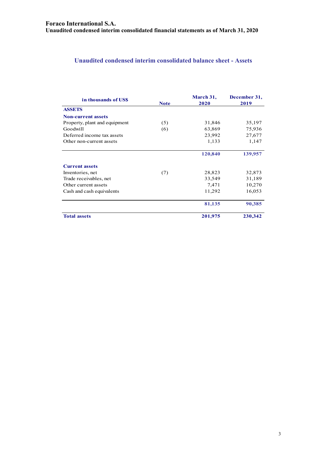# **Unaudited condensed interim consolidated balance sheet - Assets**

| in thousands of USS           | <b>Note</b> | March 31,<br>2020 | December 31,<br>2019 |
|-------------------------------|-------------|-------------------|----------------------|
| <b>ASSETS</b>                 |             |                   |                      |
| <b>Non-current assets</b>     |             |                   |                      |
| Property, plant and equipment | (5)         | 31,846            | 35,197               |
| Goodwill                      | (6)         | 63,869            | 75,936               |
| Deferred income tax assets    |             | 23,992            | 27,677               |
| Other non-current assets      |             | 1,133             | 1,147                |
|                               |             | 120,840           | 139,957              |
| <b>Current assets</b>         |             |                   |                      |
| Inventories, net              | (7)         | 28,823            | 32,873               |
| Trade receivables, net        |             | 33,549            | 31,189               |
| Other current assets          |             | 7,471             | 10,270               |
| Cash and cash equivalents     |             | 11,292            | 16,053               |
|                               |             | 81,135            | 90,385               |
| <b>Total assets</b>           |             | 201,975           | 230,342              |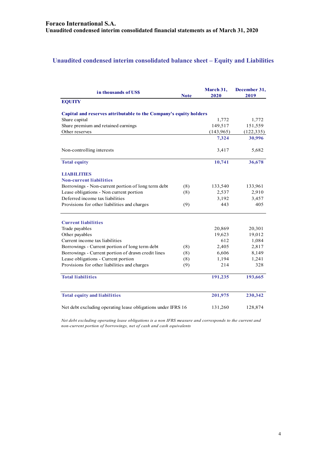# **Unaudited condensed interim consolidated balance sheet – Equity and Liabilities**

| in thousands of US\$                                              | <b>Note</b> | March 31,<br>2020 | December 31,<br>2019 |
|-------------------------------------------------------------------|-------------|-------------------|----------------------|
| <b>EQUITY</b>                                                     |             |                   |                      |
| Capital and reserves attributable to the Company's equity holders |             |                   |                      |
| Share capital                                                     |             | 1,772             | 1,772                |
| Share premium and retained earnings                               |             | 149,517           | 151,559              |
| Other reserves                                                    |             | (143, 965)        | (122, 335)           |
|                                                                   |             | 7,324             | 30,996               |
| Non-controlling interests                                         |             | 3,417             | 5,682                |
| <b>Total equity</b>                                               |             | 10,741            | 36,678               |
| <b>LIABILITIES</b>                                                |             |                   |                      |
| <b>Non-current liabilities</b>                                    |             |                   |                      |
| Borrowings - Non-current portion of long term debt                | (8)         | 133,540           | 133,961              |
| Lease obligations - Non current portion                           | (8)         | 2,537             | 2,910                |
| Deferred income tax liabilities                                   |             | 3,192             | 3,457                |
| Provisions for other liabilities and charges                      | (9)         | 443               | 405                  |
| <b>Current liabilities</b>                                        |             |                   |                      |
| Trade payables                                                    |             | 20,869            | 20,301               |
| Other payables                                                    |             | 19,623            | 19,012               |
| Current income tax liabilities                                    |             | 612               | 1,084                |
| Borrowings - Current portion of long term debt                    | (8)         | 2,405             | 2,817                |
| Borrowings - Current portion of drawn credit lines                | (8)         | 6,606             | 8,149                |
| Lease obligations - Current portion                               | (8)         | 1,194             | 1,241                |
| Provisions for other liabilities and charges                      | (9)         | 214               | 328                  |
| <b>Total liabilities</b>                                          |             | 191,235           | 193,665              |
| <b>Total equity and liabilities</b>                               |             | 201,975           | 230,342              |
| Net debt excluding operating lease obligations under IFRS 16      |             | 131,260           | 128,874              |

*Net debt excluding operating lease obligations is a non IFRS measure and corresponds to the current and non-current portion of borrowings, net of cash and cash equivalents*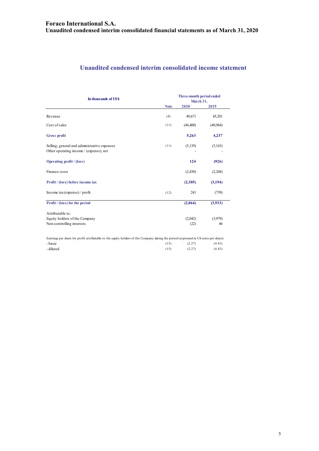# **Unaudited condensed interim consolidated income statement**

| In thousands of US\$                                                                                                                 |             | Three-month period ended<br>March 31, |          |  |  |
|--------------------------------------------------------------------------------------------------------------------------------------|-------------|---------------------------------------|----------|--|--|
|                                                                                                                                      | <b>Note</b> | 2020                                  | 2019     |  |  |
| Revenue                                                                                                                              | (4)         | 49,671                                | 45,201   |  |  |
| Cost of sales                                                                                                                        | (11)        | (44, 408)                             | (40,964) |  |  |
| <b>Gross profit</b>                                                                                                                  |             | 5,263                                 | 4,237    |  |  |
| Selling, general and administrative expenses<br>Other operating income / (expense), net                                              | (11)        | (5,139)                               | (5,163)  |  |  |
| Operating profit / (loss)                                                                                                            |             | 124                                   | (926)    |  |  |
| Finance costs                                                                                                                        |             | (2,430)                               | (2,268)  |  |  |
| Profit / (loss) before income tax                                                                                                    |             | (2,305)                               | (3, 194) |  |  |
| Income tax (expense) / profit                                                                                                        | (12)        | 241                                   | (739)    |  |  |
| <b>Profit</b> / (loss) for the period                                                                                                |             | (2,064)                               | (3,933)  |  |  |
| Attributable to:                                                                                                                     |             |                                       |          |  |  |
| Equity holders of the Company                                                                                                        |             | (2,042)                               | (3,979)  |  |  |
| Non-controlling interests                                                                                                            |             | (22)                                  | 46       |  |  |
| Earnings per share for profit attributable to the equity holders of the Company during the period (expressed in US cents per share): |             |                                       |          |  |  |
| - basic                                                                                                                              | (15)        | (2.27)                                | (4.43)   |  |  |

- diluted (15) (2.27) (4.43)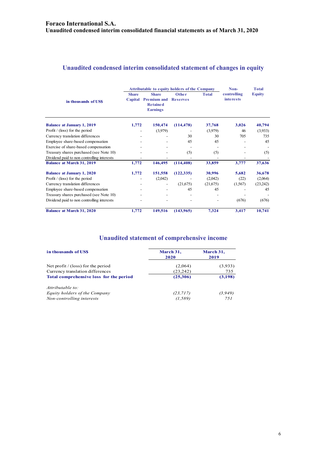# **Unaudited condensed interim consolidated statement of changes in equity**

|                                            | <b>Attributable to equity holders of the Company</b> |                                                                          |                          |              | Non-                            | <b>Total</b>  |  |
|--------------------------------------------|------------------------------------------------------|--------------------------------------------------------------------------|--------------------------|--------------|---------------------------------|---------------|--|
| in thousands of USS                        | <b>Share</b><br>Capital                              | <b>Share</b><br><b>Premium and</b><br><b>Retained</b><br><b>Earnings</b> | Other<br><b>Reserves</b> | <b>Total</b> | controlling<br><i>interests</i> | <b>Equity</b> |  |
| <b>Balance at January 1, 2019</b>          | 1,772                                                | 150,474                                                                  | (114, 478)               | 37,768       | 3,026                           | 40,794        |  |
| Profit $/$ (loss) for the period           |                                                      | (3,979)                                                                  |                          | (3,979)      | 46                              | (3,933)       |  |
| Currency translation differences           |                                                      |                                                                          | 30                       | 30           | 705                             | 735           |  |
| Employee share-based compensation          |                                                      |                                                                          | 45                       | 45           |                                 | 45            |  |
| Exercise of share-based compensation       |                                                      |                                                                          |                          |              |                                 |               |  |
| Treasury shares purchased (see Note 10)    |                                                      |                                                                          | (5)                      | (5)          |                                 | (5)           |  |
| Dividend paid to non controlling interests |                                                      |                                                                          |                          |              |                                 |               |  |
| <b>Balance at March 31, 2019</b>           | 1,772                                                | 146,495                                                                  | (114, 408)               | 33,859       | 3,777                           | 37,636        |  |
| <b>Balance at January 1, 2020</b>          | 1,772                                                | 151,558                                                                  | (122, 335)               | 30,996       | 5,682                           | 36,678        |  |
| Profit $/$ (loss) for the period           |                                                      | (2,042)                                                                  |                          | (2,042)      | (22)                            | (2,064)       |  |
| Currency translation differences           |                                                      | $\qquad \qquad \blacksquare$                                             | (21,675)                 | (21,675)     | (1, 567)                        | (23,242)      |  |
| Employee share-based compensation          |                                                      |                                                                          | 45                       | 45           |                                 | 45            |  |
| Treasury shares purchased (see Note 10)    |                                                      |                                                                          | $\overline{\phantom{a}}$ |              |                                 |               |  |
| Dividend paid to non controlling interests |                                                      |                                                                          |                          |              | (676)                           | (676)         |  |
| <b>Balance at March 31, 2020</b>           | 1,772                                                | 149,516                                                                  | (143, 965)               | 7,324        | 3,417                           | 10,741        |  |

# **Unaudited statement of comprehensive income**

| in thousands of USS                     | March 31,<br>2020 | March 31,<br>2019 |
|-----------------------------------------|-------------------|-------------------|
| Net profit $/$ (loss) for the period    | (2,064)           | (3,933)           |
| Currency translation differences        | (23, 242)         | 735               |
| Total comprehensive loss for the period | (25,306)          | (3, 198)          |
| Attributable to:                        |                   |                   |
| Equity holders of the Company           | (23, 717)         | (3,949)           |
| Non-controlling interests               | (1, 589)          | 751               |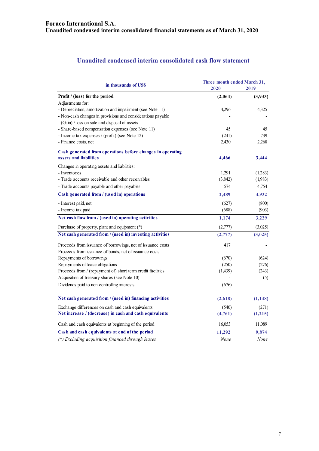# **Unaudited condensed interim consolidated cash flow statement**

|                                                                                                             | Three month ended March 31, |                  |  |
|-------------------------------------------------------------------------------------------------------------|-----------------------------|------------------|--|
| in thousands of US\$                                                                                        | 2020                        | 2019             |  |
| Profit / (loss) for the period                                                                              | (2,064)                     | (3,933)          |  |
| Adjustments for:                                                                                            |                             |                  |  |
| - Depreciation, amortization and impairment (see Note 11)                                                   | 4,296                       | 4,325            |  |
| - Non-cash changes in provisions and considerations payable                                                 |                             |                  |  |
| - (Gain) / loss on sale and disposal of assets                                                              |                             |                  |  |
| - Share-based compensation expenses (see Note 11)                                                           | 45                          | 45               |  |
| - Income tax expenses / (profit) (see Note 12)                                                              | (241)                       | 739              |  |
| - Finance costs, net                                                                                        | 2,430                       | 2,268            |  |
| Cash generated from operations before changes in operating                                                  |                             |                  |  |
| assets and liabilities                                                                                      | 4,466                       | 3,444            |  |
| Changes in operating assets and liabilities:                                                                |                             |                  |  |
| - Inventories                                                                                               | 1,291                       | (1,283)          |  |
| - Trade accounts receivable and other receivables                                                           | (3,842)                     | (1,983)          |  |
| - Trade accounts payable and other payables                                                                 | 574                         | 4,754            |  |
| Cash generated from / (used in) operations                                                                  | 2,489                       | 4,932            |  |
| - Interest paid, net                                                                                        | (627)                       | (800)            |  |
| - Income tax paid                                                                                           | (688)                       | (903)            |  |
| Net cash flow from / (used in) operating activities                                                         | 1,174                       | 3,229            |  |
| Purchase of property, plant and equipment (*)                                                               | (2,777)                     | (3,025)          |  |
| Net cash generated from / (used in) investing activities                                                    | (2,777)                     | (3,025)          |  |
| Proceeds from issuance of borrowings, net of issuance costs                                                 | 417                         |                  |  |
| Proceeds from issuance of bonds, net of issuance costs                                                      |                             |                  |  |
| Repayments of borrowings                                                                                    | (670)                       | (624)            |  |
| Repayments of lease obligations                                                                             | (250)                       | (276)            |  |
| Proceeds from / (repayment of) short term credit facilities                                                 | (1,439)                     | (243)            |  |
| Acquisition of treasury shares (see Note 10)                                                                |                             | (5)              |  |
| Dividends paid to non-controlling interests                                                                 | (676)                       |                  |  |
| Net cash generated from / (used in) financing activities                                                    | (2,618)                     | (1, 148)         |  |
|                                                                                                             |                             |                  |  |
| Exchange differences on cash and cash equivalents<br>Net increase / (decrease) in cash and cash equivalents | (540)<br>(4,761)            | (271)<br>(1,215) |  |
|                                                                                                             |                             |                  |  |
| Cash and cash equivalents at beginning of the period                                                        | 16,053                      | 11,089           |  |
| Cash and cash equivalents at end of the period                                                              | 11,292                      | 9,874            |  |
| (*) Excluding acquisition financed through leases                                                           | None                        | None             |  |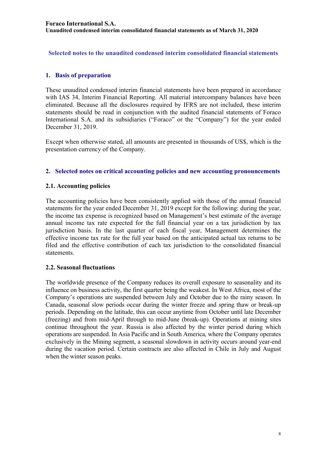**Selected notes to the unaudited condensed interim consolidated financial statements** 

# **1. Basis of preparation**

These unaudited condensed interim financial statements have been prepared in accordance with IAS 34, Interim Financial Reporting. All material intercompany balances have been eliminated. Because all the disclosures required by IFRS are not included, these interim statements should be read in conjunction with the audited financial statements of Foraco International S.A. and its subsidiaries ("Foraco" or the "Company") for the year ended December 31, 2019.

Except when otherwise stated, all amounts are presented in thousands of US\$, which is the presentation currency of the Company.

#### **2. Selected notes on critical accounting policies and new accounting pronouncements**

#### **2.1. Accounting policies**

The accounting policies have been consistently applied with those of the annual financial statements for the year ended December 31, 2019 except for the following: during the year, the income tax expense is recognized based on Management's best estimate of the average annual income tax rate expected for the full financial year on a tax jurisdiction by tax jurisdiction basis. In the last quarter of each fiscal year, Management determines the effective income tax rate for the full year based on the anticipated actual tax returns to be filed and the effective contribution of each tax jurisdiction to the consolidated financial statements.

#### **2.2. Seasonal fluctuations**

The worldwide presence of the Company reduces its overall exposure to seasonality and its influence on business activity, the first quarter being the weakest. In West Africa, most of the Company's operations are suspended between July and October due to the rainy season. In Canada, seasonal slow periods occur during the winter freeze and spring thaw or break-up periods. Depending on the latitude, this can occur anytime from October until late December (freezing) and from mid-April through to mid-June (break-up). Operations at mining sites continue throughout the year. Russia is also affected by the winter period during which operations are suspended. In Asia Pacific and in South America, where the Company operates exclusively in the Mining segment, a seasonal slowdown in activity occurs around year-end during the vacation period. Certain contracts are also affected in Chile in July and August when the winter season peaks.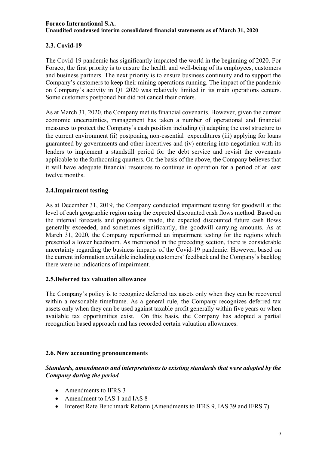# **2.3. Covid-19**

The Covid-19 pandemic has significantly impacted the world in the beginning of 2020. For Foraco, the first priority is to ensure the health and well-being of its employees, customers and business partners. The next priority is to ensure business continuity and to support the Company's customers to keep their mining operations running. The impact of the pandemic on Company's activity in Q1 2020 was relatively limited in its main operations centers. Some customers postponed but did not cancel their orders.

As at March 31, 2020, the Company met its financial covenants. However, given the current economic uncertainties, management has taken a number of operational and financial measures to protect the Company's cash position including (i) adapting the cost structure to the current environment (ii) postponing non-essential expenditures (iii) applying for loans guaranteed by governments and other incentives and (iv) entering into negotiation with its lenders to implement a standstill period for the debt service and revisit the covenants applicable to the forthcoming quarters. On the basis of the above, the Company believes that it will have adequate financial resources to continue in operation for a period of at least twelve months.

# **2.4.Impairment testing**

As at December 31, 2019, the Company conducted impairment testing for goodwill at the level of each geographic region using the expected discounted cash flows method. Based on the internal forecasts and projections made, the expected discounted future cash flows generally exceeded, and sometimes significantly, the goodwill carrying amounts. As at March 31, 2020, the Company reperformed an impairment testing for the regions which presented a lower headroom. As mentioned in the preceding section, there is considerable uncertainty regarding the business impacts of the Covid-19 pandemic. However, based on the current information available including customers' feedback and the Company's backlog there were no indications of impairment.

#### **2.5.Deferred tax valuation allowance**

The Company's policy is to recognize deferred tax assets only when they can be recovered within a reasonable timeframe. As a general rule, the Company recognizes deferred tax assets only when they can be used against taxable profit generally within five years or when available tax opportunities exist. On this basis, the Company has adopted a partial recognition based approach and has recorded certain valuation allowances.

#### **2.6. New accounting pronouncements**

*Standards, amendments and interpretations to existing standards that were adopted by the Company during the period* 

- Amendments to IFRS 3
- Amendment to IAS 1 and IAS 8
- Interest Rate Benchmark Reform (Amendments to IFRS 9, IAS 39 and IFRS 7)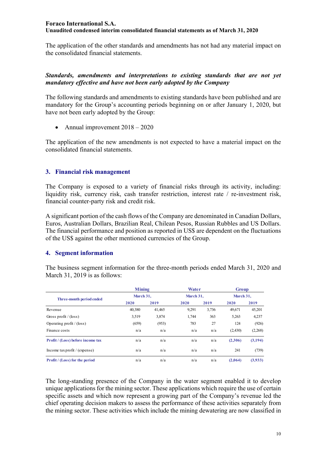The application of the other standards and amendments has not had any material impact on the consolidated financial statements.

#### *Standards, amendments and interpretations to existing standards that are not yet mandatory effective and have not been early adopted by the Company*

The following standards and amendments to existing standards have been published and are mandatory for the Group's accounting periods beginning on or after January 1, 2020, but have not been early adopted by the Group:

• Annual improvement  $2018 - 2020$ 

The application of the new amendments is not expected to have a material impact on the consolidated financial statements.

#### **3. Financial risk management**

The Company is exposed to a variety of financial risks through its activity, including: liquidity risk, currency risk, cash transfer restriction, interest rate / re-investment risk, financial counter-party risk and credit risk.

A significant portion of the cash flows of the Company are denominated in Canadian Dollars, Euros, Australian Dollars, Brazilian Real, Chilean Pesos, Russian Rubbles and US Dollars. The financial performance and position as reported in US\$ are dependent on the fluctuations of the US\$ against the other mentioned currencies of the Group.

#### **4. Segment information**

The business segment information for the three-month periods ended March 31, 2020 and March 31, 2019 is as follows:

|                                          | <b>Mining</b> |        | <b>Water</b> |       | Group     |         |
|------------------------------------------|---------------|--------|--------------|-------|-----------|---------|
| Three-month period ended                 | March 31,     |        | March 31,    |       | March 31, |         |
|                                          | 2020          | 2019   | 2020         | 2019  | 2020      | 2019    |
| Revenue                                  | 40,380        | 41,465 | 9,291        | 3,736 | 49,671    | 45,201  |
| Gross profit / $(\text{loss})$           | 3,519         | 3,874  | 1,744        | 363   | 5,263     | 4,237   |
| Operating profit $/$ (loss)              | (659)         | (953)  | 783          | 27    | 124       | (926)   |
| Finance costs                            | n/a           | n/a    | n/a          | n/a   | (2,430)   | (2,268) |
| <b>Profit</b> / (Loss) before income tax | n/a           | n/a    | n/a          | n/a   | (2,306)   | (3,194) |
| Income tax profit / (expense)            | n/a           | n/a    | n/a          | n/a   | 241       | (739)   |
| <b>Profit</b> / (Loss) for the period    | n/a           | n/a    | n/a          | n/a   | (2,064)   | (3,933) |

The long-standing presence of the Company in the water segment enabled it to develop unique applications for the mining sector. These applications which require the use of certain specific assets and which now represent a growing part of the Company's revenue led the chief operating decision makers to assess the performance of these activities separately from the mining sector. These activities which include the mining dewatering are now classified in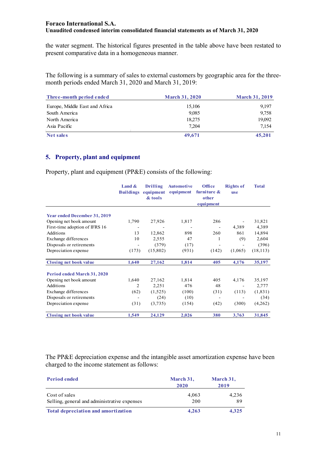the water segment. The historical figures presented in the table above have been restated to present comparative data in a homogeneous manner.

The following is a summary of sales to external customers by geographic area for the threemonth periods ended March 31, 2020 and March 31, 2019:

| Three-month period ended       | <b>March 31, 2020</b> | <b>March 31, 2019</b> |
|--------------------------------|-----------------------|-----------------------|
| Europe, Middle East and Africa | 15,106                | 9,197                 |
| South America                  | 9.085                 | 9,758                 |
| North America                  | 18,275                | 19,092                |
| Asia Pacific                   | 7.204                 | 7.154                 |
| Net sales                      | 49,671                | 45,201                |

#### **5. Property, plant and equipment**

Property, plant and equipment (PP&E) consists of the following:

|                                     | Land $\&$<br><b>Buildings</b> | <b>Drilling</b> | <b>Automotive</b><br>equipment equipment | Office<br>furniture & | <b>Rights of</b><br><b>use</b> | <b>Total</b> |
|-------------------------------------|-------------------------------|-----------------|------------------------------------------|-----------------------|--------------------------------|--------------|
|                                     |                               | & tools         |                                          | other<br>equipment    |                                |              |
| <b>Year ended December 31, 2019</b> |                               |                 |                                          |                       |                                |              |
| Opening net book amount             | 1,790                         | 27,926          | 1,817                                    | 286                   |                                | 31,821       |
| First-time adoption of IFRS 16      |                               |                 | -                                        |                       | 4,389                          | 4,389        |
| Additions                           | 13                            | 12,862          | 898                                      | 260                   | 861                            | 14,894       |
| Exchange differences                | 10                            | 2,555           | 47                                       | 1                     | (9)                            | 2,604        |
| Disposals or retirements            |                               | (379)           | (17)                                     |                       |                                | (396)        |
| Depreciation expense                | (173)                         | (15,802)        | (931)                                    | (142)                 | (1,065)                        | (18, 113)    |
| <b>Closing net book value</b>       | 1,640                         | 27,162          | 1,814                                    | 405                   | 4,176                          | 35,197       |
| Period ended March 31, 2020         |                               |                 |                                          |                       |                                |              |
| Opening net book amount             | 1,640                         | 27,162          | 1,814                                    | 405                   | 4,176                          | 35,197       |
| Additions                           | 2                             | 2,251           | 476                                      | 48                    |                                | 2,777        |
| Exchange differences                | (62)                          | (1,525)         | (100)                                    | (31)                  | (113)                          | (1, 831)     |
| Disposals or retirements            |                               | (24)            | (10)                                     |                       |                                | (34)         |
| Depreciation expense                | (31)                          | (3,735)         | (154)                                    | (42)                  | (300)                          | (4,262)      |
| Closing net book value              | 1,549                         | 24,129          | 2,026                                    | 380                   | 3,763                          | 31,845       |

The PP&E depreciation expense and the intangible asset amortization expense have been charged to the income statement as follows:

| <b>Period ended</b>                                           | March 31,<br>2020 | March 31,<br>2019 |
|---------------------------------------------------------------|-------------------|-------------------|
| Cost of sales<br>Selling, general and administrative expenses | 4.063<br>200      | 4.236<br>89       |
| Total depreciation and amortization                           | 4.263             | 4.325             |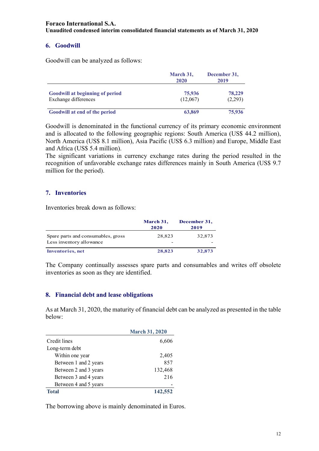# **6. Goodwill**

Goodwill can be analyzed as follows:

|                                                                | March 31,<br>2020  | December 31,<br>2019 |
|----------------------------------------------------------------|--------------------|----------------------|
| <b>Goodwill at beginning of period</b><br>Exchange differences | 75,936<br>(12,067) | 78,229<br>(2,293)    |
| Goodwill at end of the period                                  | 63,869             | 75,936               |

Goodwill is denominated in the functional currency of its primary economic environment and is allocated to the following geographic regions: South America (US\$ 44.2 million), North America (US\$ 8.1 million), Asia Pacific (US\$ 6.3 million) and Europe, Middle East and Africa (US\$ 5.4 million).

The significant variations in currency exchange rates during the period resulted in the recognition of unfavorable exchange rates differences mainly in South America (US\$ 9.7 million for the period).

#### **7. Inventories**

Inventories break down as follows:

|                                                                | March 31,<br>2020 | December 31,<br>2019 |
|----------------------------------------------------------------|-------------------|----------------------|
| Spare parts and consumables, gross<br>Less inventory allowance | 28,823            | 32,873               |
| <b>Inventories</b> , net                                       | 28,823            | 32,873               |

The Company continually assesses spare parts and consumables and writes off obsolete inventories as soon as they are identified.

#### **8. Financial debt and lease obligations**

As at March 31, 2020, the maturity of financial debt can be analyzed as presented in the table below:

|                       | <b>March 31, 2020</b> |
|-----------------------|-----------------------|
| Credit lines          | 6,606                 |
| Long-term debt        |                       |
| Within one year       | 2,405                 |
| Between 1 and 2 years | 857                   |
| Between 2 and 3 years | 132,468               |
| Between 3 and 4 years | 216                   |
| Between 4 and 5 years |                       |
| Total                 | 142,552               |

The borrowing above is mainly denominated in Euros.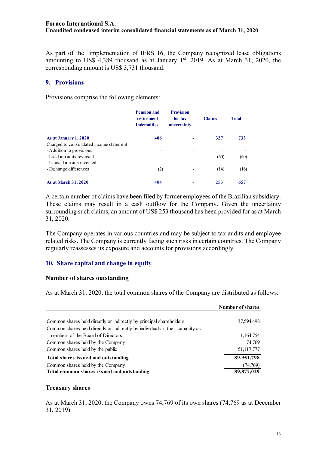As part of the implementation of IFRS 16, the Company recognized lease obligations amounting to US\$ 4,389 thousand as at January  $1<sup>st</sup>$ , 2019. As at March 31, 2020, the corresponding amount is US\$ 3,731 thousand.

#### **9. Provisions**

Provisions comprise the following elements:

|                                          | <b>Pension and</b><br>retirement<br><b>indemnities</b> | <b>Provision</b><br>for tax<br>uncertainty | <b>Claims</b> | <b>Total</b> |
|------------------------------------------|--------------------------------------------------------|--------------------------------------------|---------------|--------------|
| As at January 1, 2020                    | 406                                                    |                                            | 327           | 733          |
| Charged to consolidated income statement |                                                        |                                            |               |              |
| - Addition to provisions                 | ۰                                                      | $\qquad \qquad \blacksquare$               |               |              |
| - Used amounts reversed                  | $\overline{\phantom{a}}$                               |                                            | (60)          | (60)         |
| - Unused amouts reversed                 | $\overline{\phantom{0}}$                               |                                            |               |              |
| - Exchange differences                   | (2)                                                    |                                            | (14)          | (16)         |
| <b>As at March 31, 2020</b>              | 404                                                    |                                            | 253           | 657          |

A certain number of claims have been filed by former employees of the Brazilian subsidiary. These claims may result in a cash outflow for the Company. Given the uncertainty surrounding such claims, an amount of US\$ 253 thousand has been provided for as at March 31, 2020.

The Company operates in various countries and may be subject to tax audits and employee related risks. The Company is currently facing such risks in certain countries. The Company regularly reassesses its exposure and accounts for provisions accordingly.

#### **10. Share capital and change in equity**

#### **Number of shares outstanding**

As at March 31, 2020, the total common shares of the Company are distributed as follows:

|                                                                                 | Number of shares       |
|---------------------------------------------------------------------------------|------------------------|
| Common shares held directly or indirectly by principal shareholders             | 37,594,498             |
| Common shares held directly or indirectly by individuals in their capacity as   |                        |
| members of the Board of Directors                                               | 1,164,754              |
| Common shares held by the Company                                               | 74,769                 |
| Common shares held by the public                                                | 51,117,777             |
| Total shares issued and outstanding                                             | 89,951,798             |
| Common shares held by the Company<br>Total common shares issued and outstanding | (74,769)<br>89,877,029 |

#### **Treasury shares**

As at March 31, 2020, the Company owns 74,769 of its own shares (74,769 as at December 31, 2019).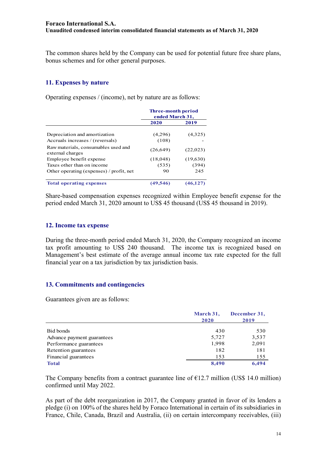The common shares held by the Company can be used for potential future free share plans, bonus schemes and for other general purposes.

# **11. Expenses by nature**

Operating expenses / (income), net by nature are as follows:

|                                                         | <b>Three-month period</b><br>ended March 31, |          |
|---------------------------------------------------------|----------------------------------------------|----------|
|                                                         | 2020                                         | 2019     |
| Depreciation and amortization                           | (4,296)                                      | (4,325)  |
| Accruals increases / (reversals)                        | (108)                                        |          |
| Raw materials, consumables used and<br>external charges | (26, 649)                                    | (22,023) |
| Employee benefit expense                                | (18,048)                                     | (19,630) |
| Taxes other than on income                              | (535)                                        | (394)    |
| Other operating (expenses) / profit, net                | 90                                           | 245      |
| <b>Total operating expenses</b>                         | (49, 546)                                    | (46.)    |

Share-based compensation expenses recognized within Employee benefit expense for the period ended March 31, 2020 amount to US\$ 45 thousand (US\$ 45 thousand in 2019).

#### **12. Income tax expense**

During the three-month period ended March 31, 2020, the Company recognized an income tax profit amounting to US\$ 240 thousand. The income tax is recognized based on Management's best estimate of the average annual income tax rate expected for the full financial year on a tax jurisdiction by tax jurisdiction basis.

#### **13. Commitments and contingencies**

Guarantees given are as follows:

|                            | March 31,<br>2020 | December 31,<br>2019 |  |
|----------------------------|-------------------|----------------------|--|
| Bid bonds                  | 430               | 530                  |  |
| Advance payment guarantees | 5,727             | 3,537                |  |
| Performance guarantees     | 1.998             | 2,091                |  |
| Retention guarantees       | 182               | 181                  |  |
| Financial guarantees       | 153               | 155                  |  |
| <b>Total</b>               | 8,490             | 6,494                |  |

The Company benefits from a contract guarantee line of  $E12.7$  million (US\$ 14.0 million) confirmed until May 2022.

As part of the debt reorganization in 2017, the Company granted in favor of its lenders a pledge (i) on 100% of the shares held by Foraco International in certain of its subsidiaries in France, Chile, Canada, Brazil and Australia, (ii) on certain intercompany receivables, (iii)